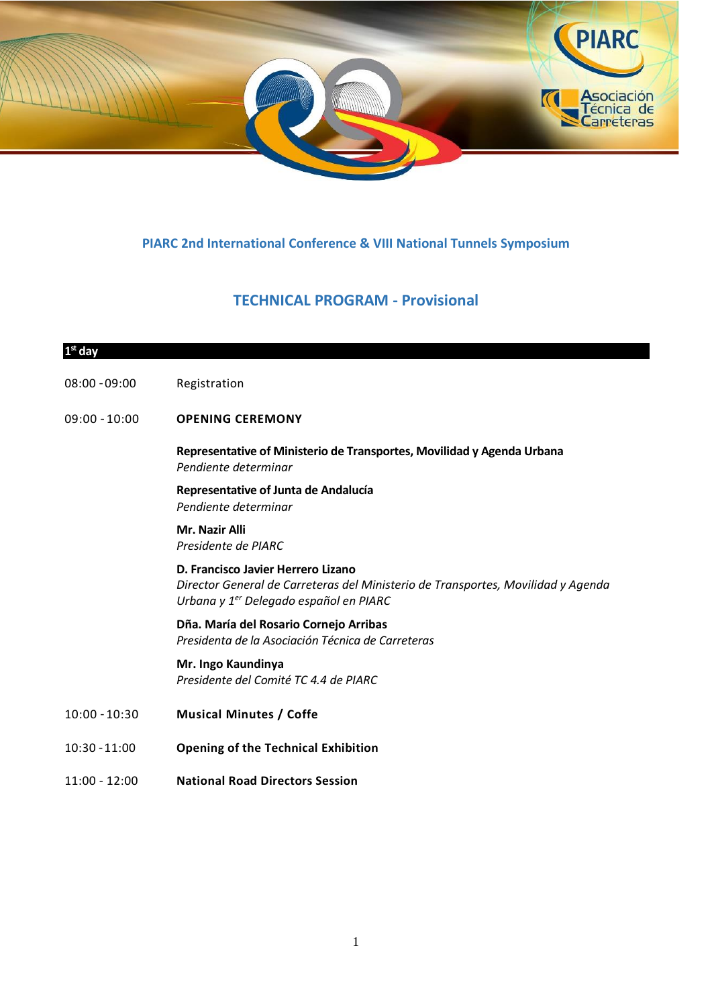

## **PIARC 2nd International Conference & VIII National Tunnels Symposium**

## **TECHNICAL PROGRAM - Provisional**

# **1 st day** 08:00 – 09:00 Registration 09:00 – 10:00 **OPENING CEREMONY Representative of Ministerio de Transportes, Movilidad y Agenda Urbana** *Pendiente determinar* **Representative of Junta de Andalucía** *Pendiente determinar* **Mr. Nazir Alli** *Presidente de PIARC* **D. Francisco Javier Herrero Lizano** *Director General de Carreteras del Ministerio de Transportes, Movilidad y Agenda Urbana y 1er Delegado español en PIARC* **Dña. María del Rosario Cornejo Arribas** *Presidenta de la Asociación Técnica de Carreteras* **Mr. Ingo Kaundinya** *Presidente del Comité TC 4.4 de PIARC* 10:00 – 10:30 **Musical Minutes / Coffe** 10:30 – 11:00 **Opening of the Technical Exhibition**

11:00 - 12:00 **National Road Directors Session**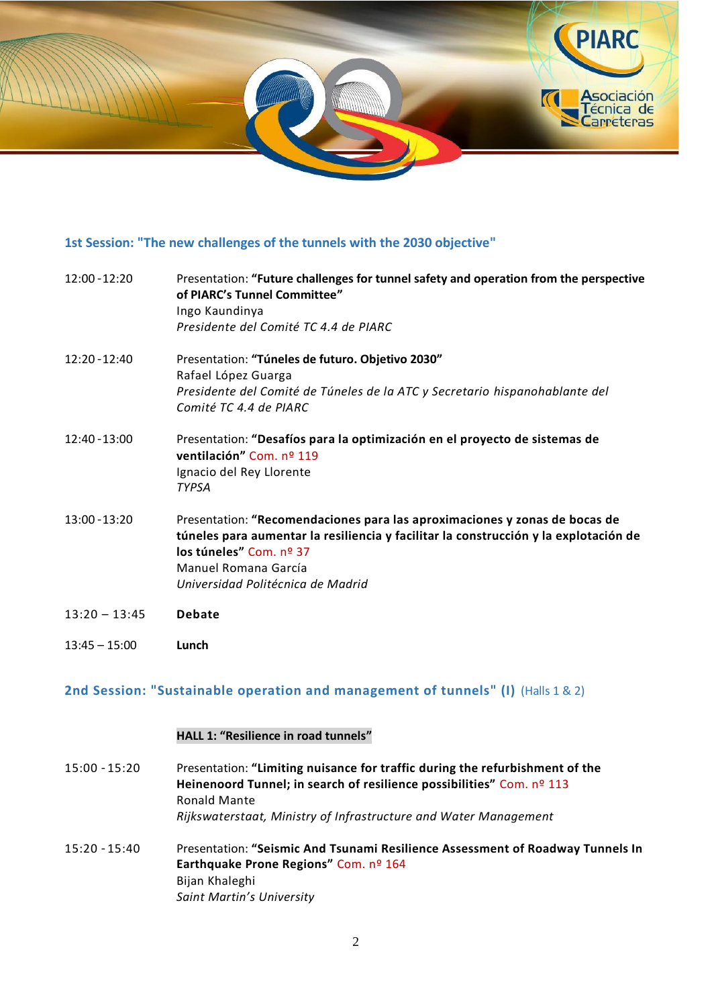

## **1st Session: "The new challenges of the tunnels with the 2030 objective"**

| $12:00 - 12:20$ | Presentation: "Future challenges for tunnel safety and operation from the perspective<br>of PIARC's Tunnel Committee"<br>Ingo Kaundinya<br>Presidente del Comité TC 4.4 de PIARC                                                                           |
|-----------------|------------------------------------------------------------------------------------------------------------------------------------------------------------------------------------------------------------------------------------------------------------|
| $12:20 - 12:40$ | Presentation: "Túneles de futuro. Objetivo 2030"<br>Rafael López Guarga<br>Presidente del Comité de Túneles de la ATC y Secretario hispanohablante del<br>Comité TC 4.4 de PIARC                                                                           |
| 12:40 - 13:00   | Presentation: "Desafíos para la optimización en el proyecto de sistemas de<br>ventilación" Com. nº 119<br>Ignacio del Rey Llorente<br><b>TYPSA</b>                                                                                                         |
| $13:00 - 13:20$ | Presentation: "Recomendaciones para las aproximaciones y zonas de bocas de<br>túneles para aumentar la resiliencia y facilitar la construcción y la explotación de<br>los túneles" Com. nº 37<br>Manuel Romana García<br>Universidad Politécnica de Madrid |
| $13:20 - 13:45$ | <b>Debate</b>                                                                                                                                                                                                                                              |
| $13:45 - 15:00$ | Lunch                                                                                                                                                                                                                                                      |

# **2nd Session: "Sustainable operation and management of tunnels" (I)** (Halls 1 & 2)

## **HALL 1: "Resilience in road tunnels"**

| 15:00 - 15:20 | Presentation: "Limiting nuisance for traffic during the refurbishment of the |
|---------------|------------------------------------------------------------------------------|
|               | Heinenoord Tunnel; in search of resilience possibilities" Com. nº 113        |
|               | <b>Ronald Mante</b>                                                          |
|               | Rijkswaterstaat, Ministry of Infrastructure and Water Management             |
|               |                                                                              |

15:20 – 15:40 Presentation: **"Seismic And Tsunami Resilience Assessment of Roadway Tunnels In Earthquake Prone Regions"** Com. nº 164 Bijan Khaleghi *Saint Martin's University*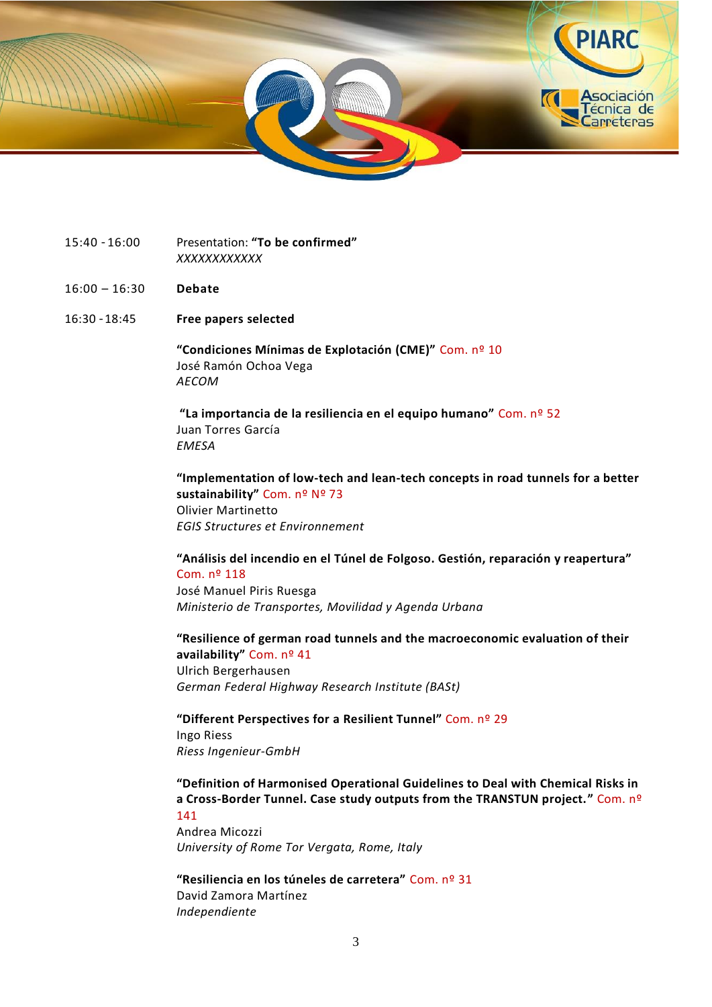

- 15:40 16:00 Presentation: **"To be confirmed"** *XXXXXXXXXXXX*
- 16:00 16:30 **Debate**
- 16:30 18:45 **Free papers selected**

**"Condiciones Mínimas de Explotación (CME)"** Com. nº 10 José Ramón Ochoa Vega *AECOM*

**"La importancia de la resiliencia en el equipo humano"** Com. nº 52 Juan Torres García *EMESA*

**"Implementation of low-tech and lean-tech concepts in road tunnels for a better sustainability"** Com. nº Nº 73 Olivier Martinetto *EGIS Structures et Environnement*

**"Análisis del incendio en el Túnel de Folgoso. Gestión, reparación y reapertura"** Com. nº 118 José Manuel Piris Ruesga *Ministerio de Transportes, Movilidad y Agenda Urbana*

**"Resilience of german road tunnels and the macroeconomic evaluation of their availability"** Com. nº 41 Ulrich Bergerhausen *German Federal Highway Research Institute (BASt)*

**"Different Perspectives for a Resilient Tunnel"** Com. nº 29 Ingo Riess *Riess Ingenieur-GmbH*

**"Definition of Harmonised Operational Guidelines to Deal with Chemical Risks in a Cross-Border Tunnel. Case study outputs from the TRANSTUN project."** Com. nº 141

Andrea Micozzi *University of Rome Tor Vergata, Rome, Italy*

**"Resiliencia en los túneles de carretera"** Com. nº 31 David Zamora Martínez *Independiente*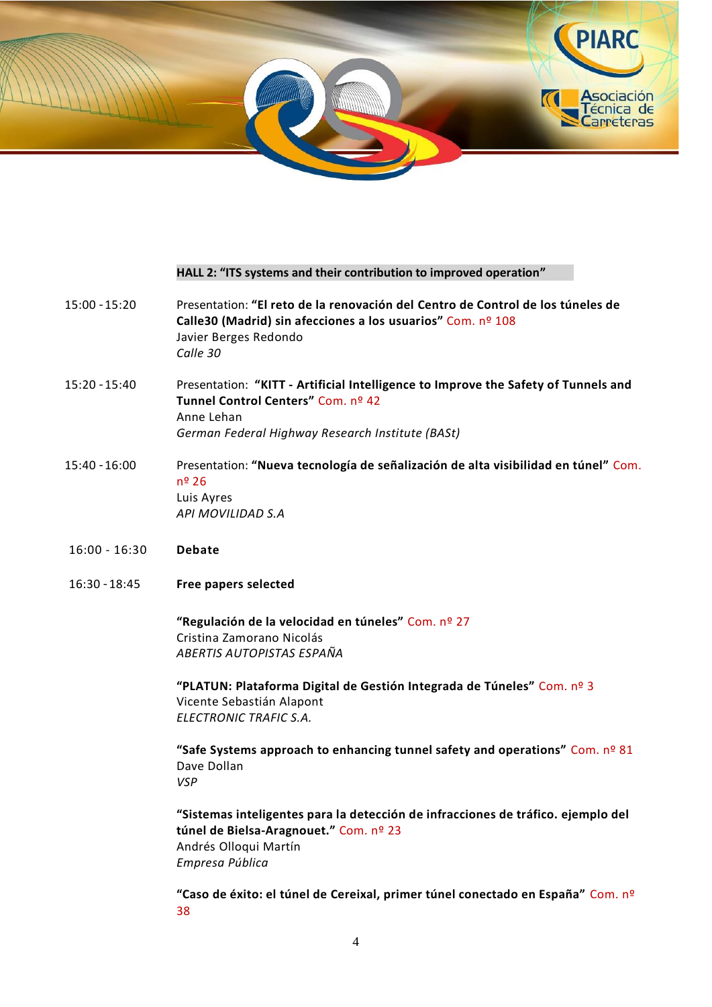

#### **HALL 2: "ITS systems and their contribution to improved operation"**

- 15:00 15:20 Presentation: **"El reto de la renovación del Centro de Control de los túneles de Calle30 (Madrid) sin afecciones a los usuarios"** Com. nº 108 Javier Berges Redondo *Calle 30*
- 15:20 15:40 Presentation: **"KITT - Artificial Intelligence to Improve the Safety of Tunnels and Tunnel Control Centers"** Com. nº 42 Anne Lehan *German Federal Highway Research Institute (BASt)*
- 15:40 16:00 Presentation: **"Nueva tecnología de señalización de alta visibilidad en túnel"** Com. nº 26 Luis Ayres *API MOVILIDAD S.A*
- 16:00 16:30 **Debate**
- 16:30 18:45 **Free papers selected**

**"Regulación de la velocidad en túneles"** Com. nº 27 Cristina Zamorano Nicolás *ABERTIS AUTOPISTAS ESPAÑA*

**"PLATUN: Plataforma Digital de Gestión Integrada de Túneles"** Com. nº 3 Vicente Sebastián Alapont *ELECTRONIC TRAFIC S.A.*

**"Safe Systems approach to enhancing tunnel safety and operations"** Com. nº 81 Dave Dollan *VSP*

**"Sistemas inteligentes para la detección de infracciones de tráfico. ejemplo del túnel de Bielsa-Aragnouet."** Com. nº 23 Andrés Olloqui Martín *Empresa Pública*

**"Caso de éxito: el túnel de Cereixal, primer túnel conectado en España"** Com. nº 38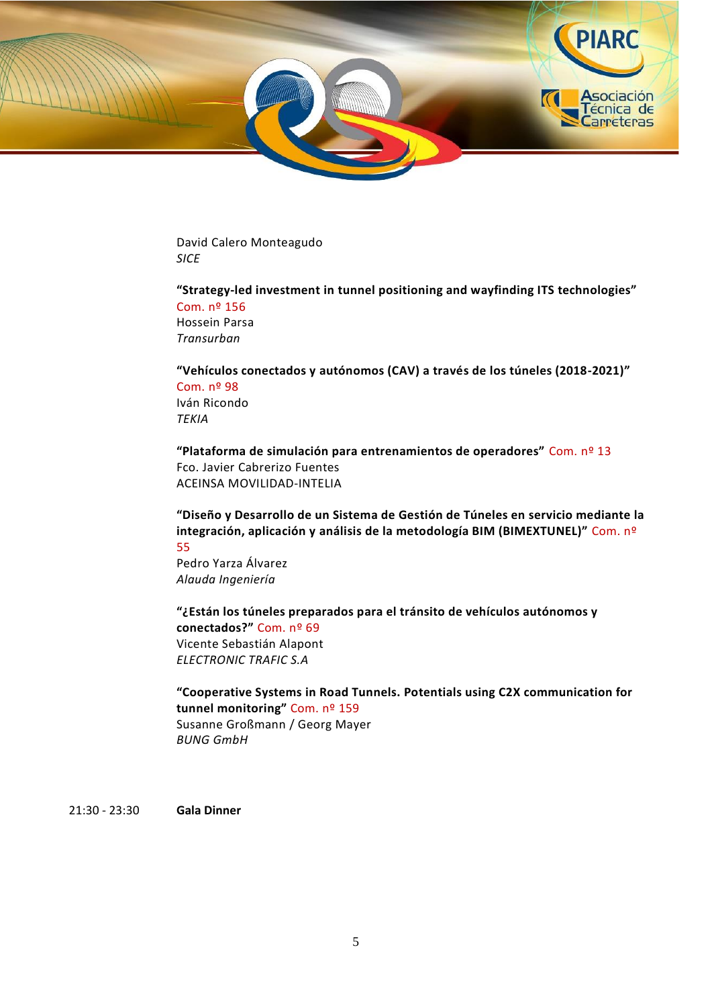

David Calero Monteagudo *SICE*

**"Strategy-led investment in tunnel positioning and wayfinding ITS technologies"** Com. nº 156 Hossein Parsa *Transurban*

**"Vehículos conectados y autónomos (CAV) a través de los túneles (2018-2021)"** Com. nº 98 Iván Ricondo *TEKIA*

**"Plataforma de simulación para entrenamientos de operadores"** Com. nº 13 Fco. Javier Cabrerizo Fuentes ACEINSA MOVILIDAD-INTELIA

**"Diseño y Desarrollo de un Sistema de Gestión de Túneles en servicio mediante la integración, aplicación y análisis de la metodología BIM (BIMEXTUNEL)"** Com. nº 55

Pedro Yarza Álvarez *Alauda Ingeniería*

**"¿Están los túneles preparados para el tránsito de vehículos autónomos y conectados?"** Com. nº 69 Vicente Sebastián Alapont *ELECTRONIC TRAFIC S.A*

**"Cooperative Systems in Road Tunnels. Potentials using C2X communication for tunnel monitoring"** Com. nº 159 Susanne Großmann / Georg Mayer *BUNG GmbH*

21:30 - 23:30 **Gala Dinner**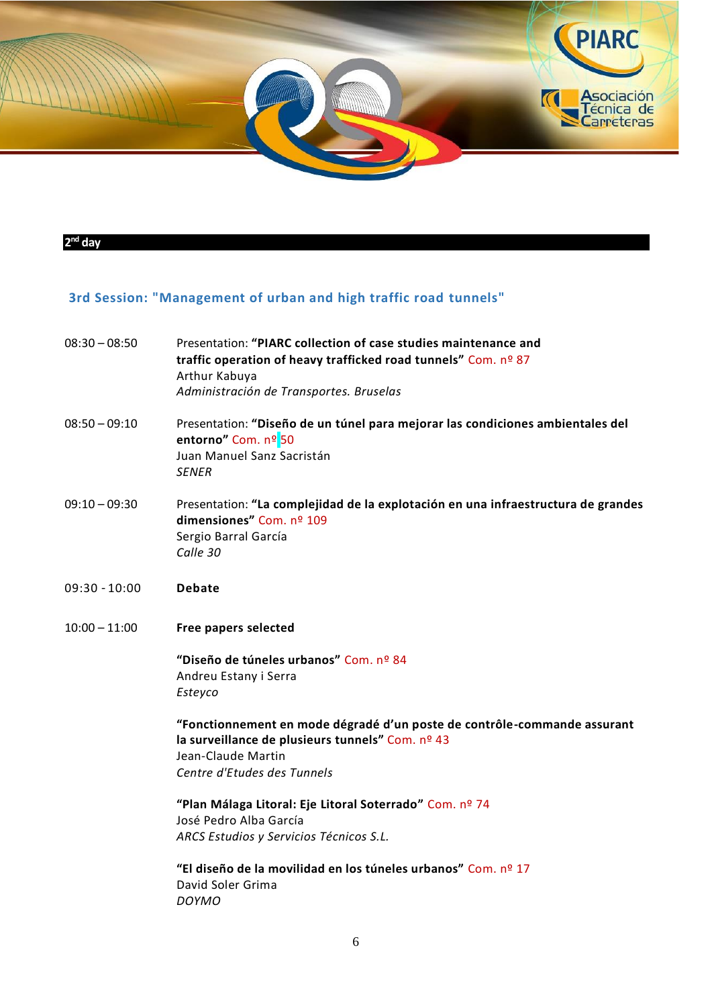

#### **2 nd day**

# **3rd Session: "Management of urban and high traffic road tunnels"**

| $08:30 - 08:50$ | Presentation: "PIARC collection of case studies maintenance and<br>traffic operation of heavy trafficked road tunnels" Com. nº 87<br>Arthur Kabuya<br>Administración de Transportes. Bruselas |
|-----------------|-----------------------------------------------------------------------------------------------------------------------------------------------------------------------------------------------|
| $08:50 - 09:10$ | Presentation: "Diseño de un túnel para mejorar las condiciones ambientales del<br>entorno" Com. nº 50<br>Juan Manuel Sanz Sacristán<br><b>SENER</b>                                           |
| $09:10 - 09:30$ | Presentation: "La complejidad de la explotación en una infraestructura de grandes<br>dimensiones" Com. nº 109<br>Sergio Barral García<br>Calle 30                                             |
| $09:30 - 10:00$ | <b>Debate</b>                                                                                                                                                                                 |
| $10:00 - 11:00$ | Free papers selected                                                                                                                                                                          |
|                 | "Diseño de túneles urbanos" Com. nº 84<br>Andreu Estany i Serra<br>Esteyco                                                                                                                    |
|                 | "Fonctionnement en mode dégradé d'un poste de contrôle-commande assurant<br>la surveillance de plusieurs tunnels" Com. nº 43<br>Jean-Claude Martin<br>Centre d'Etudes des Tunnels             |
|                 | "Plan Málaga Litoral: Eje Litoral Soterrado" Com. nº 74<br>José Pedro Alba García<br>ARCS Estudios y Servicios Técnicos S.L.                                                                  |
|                 | "El diseño de la movilidad en los túneles urbanos" Com. nº 17<br>David Soler Grima<br><b>DOYMO</b>                                                                                            |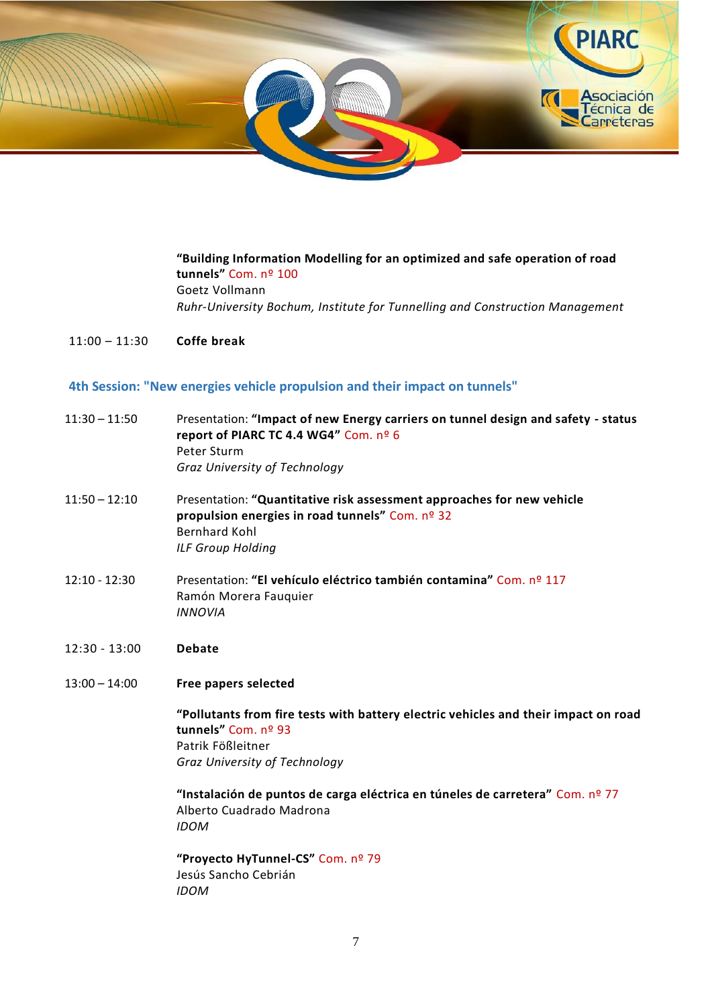

**"Building Information Modelling for an optimized and safe operation of road tunnels"** Com. nº 100 Goetz Vollmann *Ruhr-University Bochum, Institute for Tunnelling and Construction Management*

11:00 – 11:30 **Coffe break**

### **4th Session: "New energies vehicle propulsion and their impact on tunnels"**

| 11:30 – 11:50 | Presentation: "Impact of new Energy carriers on tunnel design and safety - status |
|---------------|-----------------------------------------------------------------------------------|
|               | report of PIARC TC 4.4 WG4" Com. $n^{\circ}$ 6                                    |
|               | Peter Sturm                                                                       |
|               | Graz University of Technology                                                     |

- 11:50 12:10 Presentation: **"Quantitative risk assessment approaches for new vehicle propulsion energies in road tunnels"** Com. nº 32 Bernhard Kohl *ILF Group Holding*
- 12:10 12:30 Presentation: **"El vehículo eléctrico también contamina"** Com. nº 117 Ramón Morera Fauquier *INNOVIA*
- 12:30 13:00 **Debate**
- 13:00 14:00 **Free papers selected**

**"Pollutants from fire tests with battery electric vehicles and their impact on road tunnels"** Com. nº 93 Patrik Fößleitner *Graz University of Technology*

**"Instalación de puntos de carga eléctrica en túneles de carretera"** Com. nº 77 Alberto Cuadrado Madrona *IDOM*

**"Proyecto HyTunnel-CS"** Com. nº 79 Jesús Sancho Cebrián *IDOM*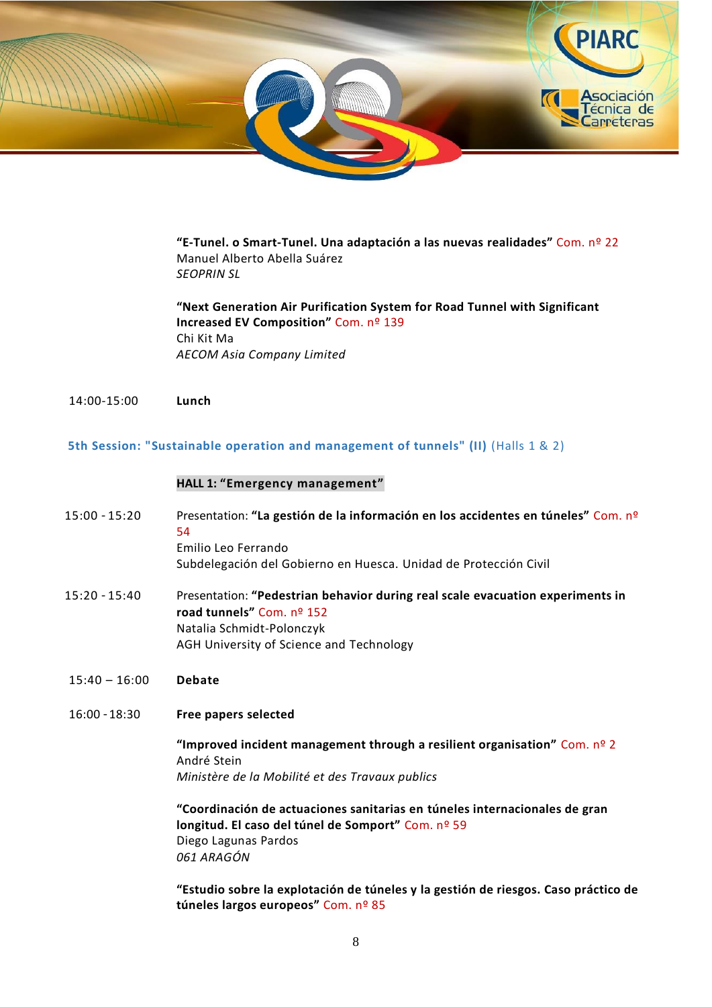

**"E-Tunel. o Smart-Tunel. Una adaptación a las nuevas realidades"** Com. nº 22 Manuel Alberto Abella Suárez *SEOPRIN SL*

**"Next Generation Air Purification System for Road Tunnel with Significant Increased EV Composition"** Com. nº 139 Chi Kit Ma *AECOM Asia Company Limited*

14:00-15:00 **Lunch**

**5th Session: "Sustainable operation and management of tunnels" (II)** (Halls 1 & 2)

#### **HALL 1: "Emergency management"**

- 15:00 15:20 Presentation: **"La gestión de la información en los accidentes en túneles"** Com. nº 54 Emilio Leo Ferrando Subdelegación del Gobierno en Huesca. Unidad de Protección Civil
- 15:20 15:40 Presentation: **"Pedestrian behavior during real scale evacuation experiments in road tunnels"** Com. nº 152 Natalia Schmidt-Polonczyk AGH University of Science and Technology
- 15:40 16:00 **Debate**
- 16:00 18:30 **Free papers selected**

**"Improved incident management through a resilient organisation"** Com. nº 2 André Stein *Ministère de la Mobilité et des Travaux publics*

**"Coordinación de actuaciones sanitarias en túneles internacionales de gran longitud. El caso del túnel de Somport"** Com. nº 59 Diego Lagunas Pardos *061 ARAGÓN*

**"Estudio sobre la explotación de túneles y la gestión de riesgos. Caso práctico de túneles largos europeos"** Com. nº 85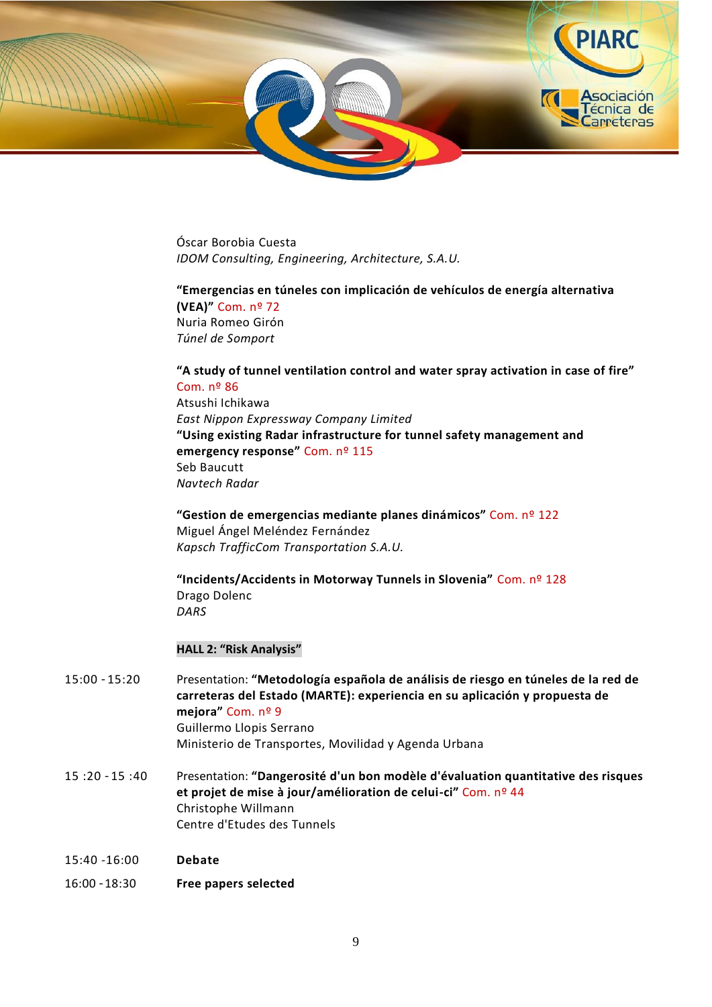

Óscar Borobia Cuesta *IDOM Consulting, Engineering, Architecture, S.A.U.*

## **"Emergencias en túneles con implicación de vehículos de energía alternativa (VEA)"** Com. nº 72 Nuria Romeo Girón *Túnel de Somport*

**"A study of tunnel ventilation control and water spray activation in case of fire"** Com. nº 86 Atsushi Ichikawa *East Nippon Expressway Company Limited* **"Using existing Radar infrastructure for tunnel safety management and emergency response"** Com. nº 115 Seb Baucutt *Navtech Radar*

**"Gestion de emergencias mediante planes dinámicos"** Com. nº 122 Miguel Ángel Meléndez Fernández *Kapsch TrafficCom Transportation S.A.U.*

**"Incidents/Accidents in Motorway Tunnels in Slovenia"** Com. nº 128 Drago Dolenc *DARS*

#### **HALL 2: "Risk Analysis"**

- 15:00 15:20 Presentation: **"Metodología española de análisis de riesgo en túneles de la red de carreteras del Estado (MARTE): experiencia en su aplicación y propuesta de mejora"** Com. nº 9 Guillermo Llopis Serrano Ministerio de Transportes, Movilidad y Agenda Urbana
- 15 :20 15 :40 Presentation: **"Dangerosité d'un bon modèle d'évaluation quantitative des risques et projet de mise à jour/amélioration de celui-ci"** Com. nº 44 Christophe Willmann Centre d'Etudes des Tunnels
- 15:40 -16:00 **Debate**
- 16:00 18:30 **Free papers selected**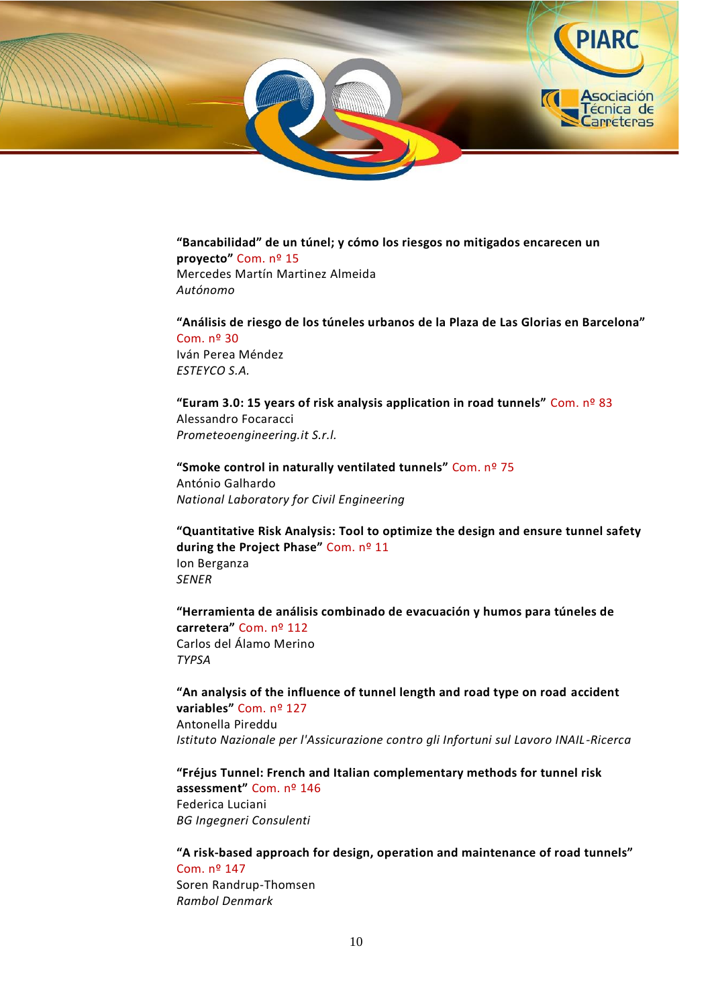

**"Bancabilidad" de un túnel; y cómo los riesgos no mitigados encarecen un proyecto"** Com. nº 15 Mercedes Martín Martinez Almeida *Autónomo*

**"Análisis de riesgo de los túneles urbanos de la Plaza de Las Glorias en Barcelona"** Com. nº 30 Iván Perea Méndez *ESTEYCO S.A.*

**"Euram 3.0: 15 years of risk analysis application in road tunnels"** Com. nº 83 Alessandro Focaracci *Prometeoengineering.it S.r.l.*

**"Smoke control in naturally ventilated tunnels"** Com. nº 75 António Galhardo *National Laboratory for Civil Engineering*

**"Quantitative Risk Analysis: Tool to optimize the design and ensure tunnel safety during the Project Phase"** Com. nº 11 Ion Berganza *SENER*

**"Herramienta de análisis combinado de evacuación y humos para túneles de carretera"** Com. nº 112 Carlos del Álamo Merino *TYPSA*

**"An analysis of the influence of tunnel length and road type on road accident variables"** Com. nº 127 Antonella Pireddu *Istituto Nazionale per l'Assicurazione contro gli Infortuni sul Lavoro INAIL-Ricerca*

**"Fréjus Tunnel: French and Italian complementary methods for tunnel risk assessment"** Com. nº 146 Federica Luciani *BG Ingegneri Consulenti*

**"A risk-based approach for design, operation and maintenance of road tunnels"** Com. nº 147 Soren Randrup-Thomsen *Rambol Denmark*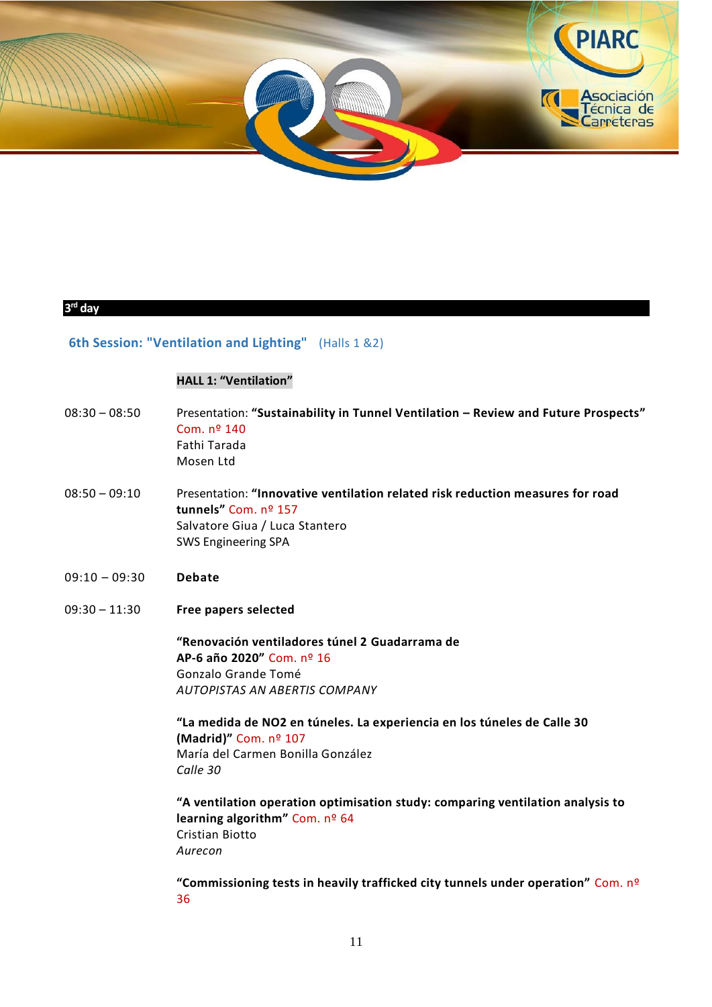

### **3 rd day**

# **6th Session: "Ventilation and Lighting"** (Halls 1 &2)

# **HALL 1: "Ventilation"**

| $08:30 - 08:50$ | Presentation: "Sustainability in Tunnel Ventilation - Review and Future Prospects"<br>Com. nº 140<br>Fathi Tarada<br>Mosen Ltd                                                                                                                                                                                                                                                                                                                    |
|-----------------|---------------------------------------------------------------------------------------------------------------------------------------------------------------------------------------------------------------------------------------------------------------------------------------------------------------------------------------------------------------------------------------------------------------------------------------------------|
| $08:50 - 09:10$ | Presentation: "Innovative ventilation related risk reduction measures for road<br>tunnels" Com. nº 157<br>Salvatore Giua / Luca Stantero<br><b>SWS Engineering SPA</b>                                                                                                                                                                                                                                                                            |
| $09:10 - 09:30$ | <b>Debate</b>                                                                                                                                                                                                                                                                                                                                                                                                                                     |
| $09:30 - 11:30$ | <b>Free papers selected</b>                                                                                                                                                                                                                                                                                                                                                                                                                       |
|                 | "Renovación ventiladores túnel 2 Guadarrama de<br>AP-6 año 2020" Com. nº 16<br>Gonzalo Grande Tomé<br>AUTOPISTAS AN ABERTIS COMPANY<br>"La medida de NO2 en túneles. La experiencia en los túneles de Calle 30<br>(Madrid)" Com. nº 107<br>María del Carmen Bonilla González<br>Calle 30<br>"A ventilation operation optimisation study: comparing ventilation analysis to<br>learning algorithm" Com. nº 64<br><b>Cristian Biotto</b><br>Aurecon |
|                 | "Commissioning tests in heavily trafficked city tunnels under operation" Com. nº                                                                                                                                                                                                                                                                                                                                                                  |

36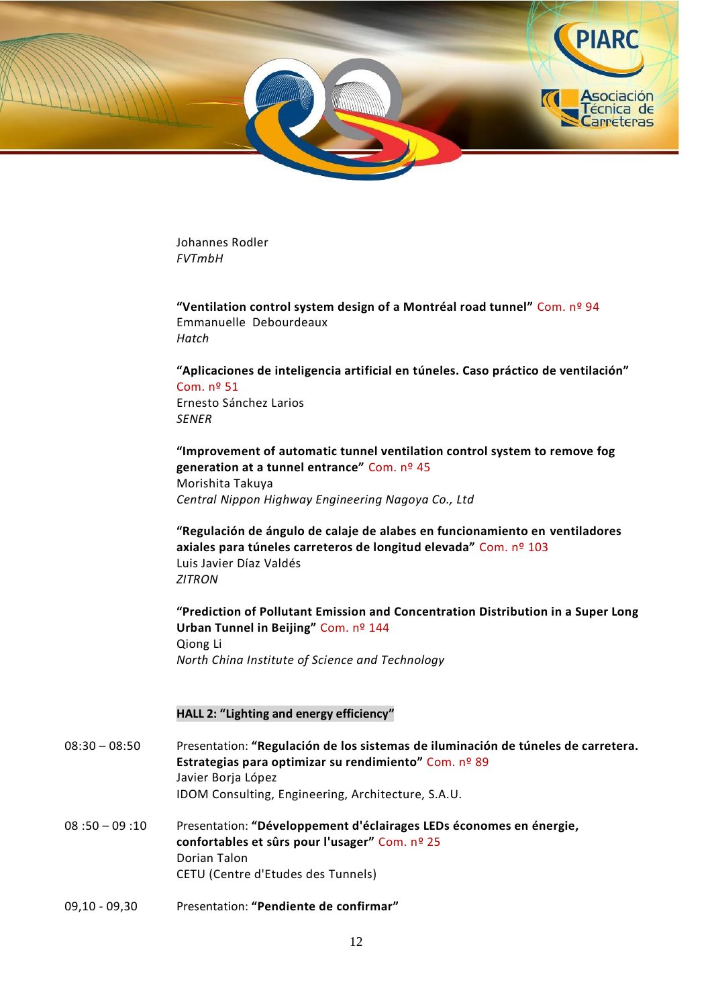

Johannes Rodler *FVTmbH*

**"Ventilation control system design of a Montréal road tunnel"** Com. nº 94 Emmanuelle Debourdeaux *Hatch*

**"Aplicaciones de inteligencia artificial en túneles. Caso práctico de ventilación"** Com. nº 51 Ernesto Sánchez Larios *SENER*

**"Improvement of automatic tunnel ventilation control system to remove fog generation at a tunnel entrance"** Com. nº 45 Morishita Takuya *Central Nippon Highway Engineering Nagoya Co., Ltd*

**"Regulación de ángulo de calaje de alabes en funcionamiento en ventiladores axiales para túneles carreteros de longitud elevada"** Com. nº 103 Luis Javier Díaz Valdés *ZITRON*

**"Prediction of Pollutant Emission and Concentration Distribution in a Super Long Urban Tunnel in Beijing"** Com. nº 144 Qiong Li *North China Institute of Science and Technology*

#### **HALL 2: "Lighting and energy efficiency"**

- 08:30 08:50 Presentation: **"Regulación de los sistemas de iluminación de túneles de carretera. Estrategias para optimizar su rendimiento"** Com. nº 89 Javier Borja López IDOM Consulting, Engineering, Architecture, S.A.U.
- 08 :50 09 :10 Presentation: **"Développement d'éclairages LEDs économes en énergie, confortables et sûrs pour l'usager"** Com. nº 25 Dorian Talon CETU (Centre d'Etudes des Tunnels)
- 09,10 09,30 Presentation: **"Pendiente de confirmar"**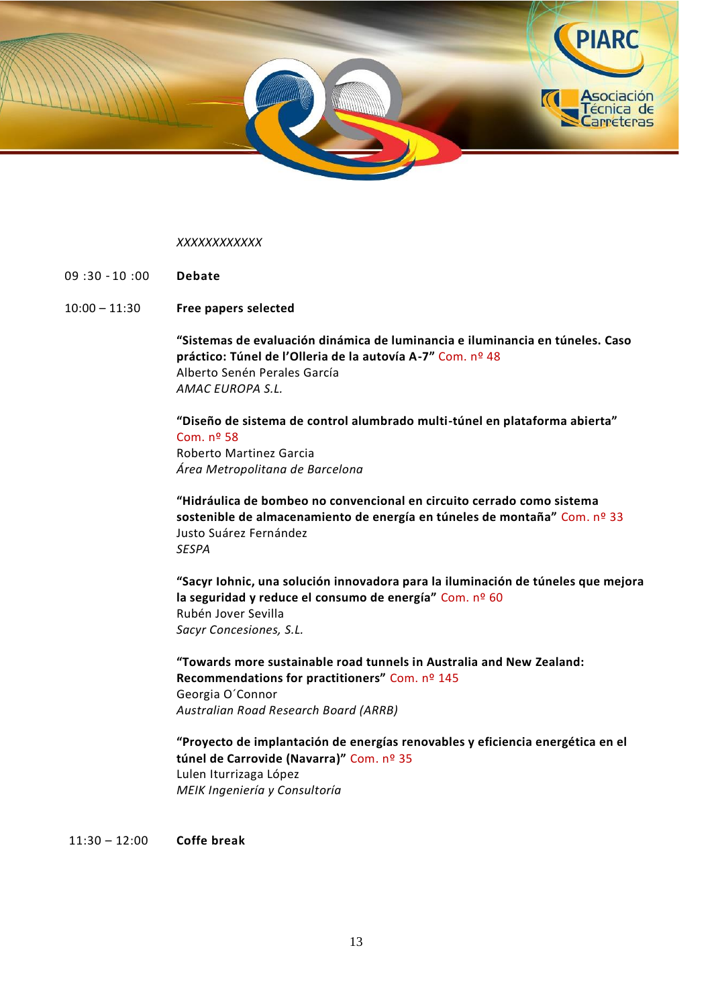

#### *XXXXXXXXXXXX*

- 09 :30 10 :00 **Debate**
- 10:00 11:30 **Free papers selected**

**"Sistemas de evaluación dinámica de luminancia e iluminancia en túneles. Caso práctico: Túnel de l'Olleria de la autovía A-7"** Com. nº 48 Alberto Senén Perales García *AMAC EUROPA S.L.*

**"Diseño de sistema de control alumbrado multi-túnel en plataforma abierta"** Com. nº 58 Roberto Martinez Garcia *Área Metropolitana de Barcelona*

**"Hidráulica de bombeo no convencional en circuito cerrado como sistema sostenible de almacenamiento de energía en túneles de montaña"** Com. nº 33 Justo Suárez Fernández *SESPA*

**"Sacyr Iohnic, una solución innovadora para la iluminación de túneles que mejora la seguridad y reduce el consumo de energía"** Com. nº 60 Rubén Jover Sevilla *Sacyr Concesiones, S.L.*

**"Towards more sustainable road tunnels in Australia and New Zealand: Recommendations for practitioners"** Com. nº 145 Georgia O´Connor *Australian Road Research Board (ARRB)*

**"Proyecto de implantación de energías renovables y eficiencia energética en el túnel de Carrovide (Navarra)"** Com. nº 35 Lulen Iturrizaga López *MEIK Ingeniería y Consultoría*

11:30 – 12:00 **Coffe break**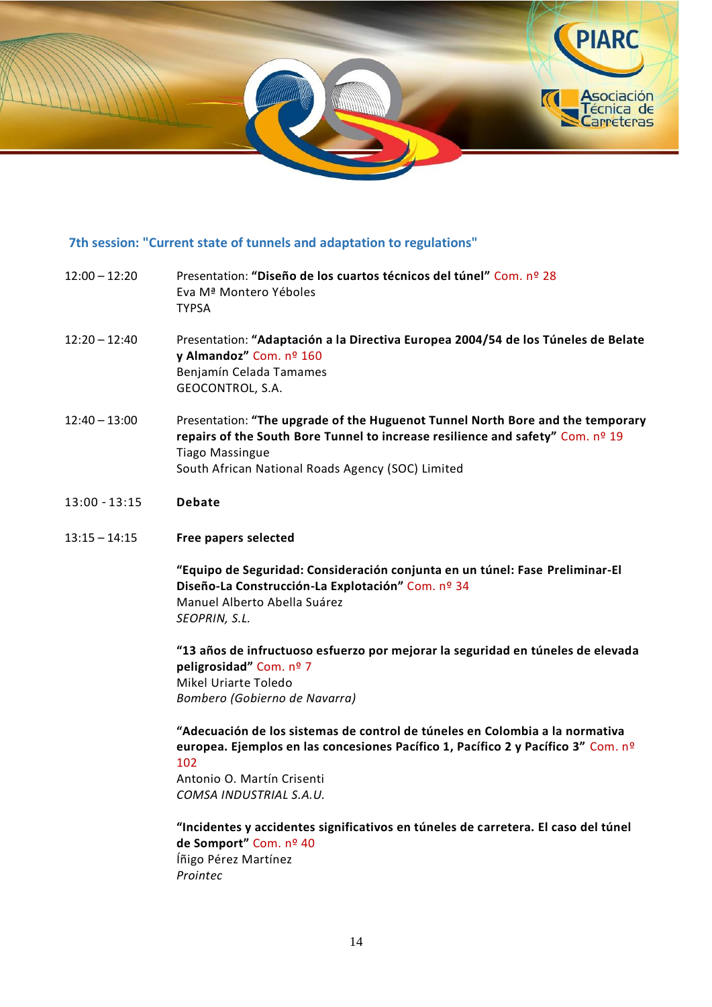

## **7th session: "Current state of tunnels and adaptation to regulations"**

- 12:00 12:20 Presentation: **"Diseño de los cuartos técnicos del túnel"** Com. nº 28 Eva Mª Montero Yéboles TYPSA
- 12:20 12:40 Presentation: **"Adaptación a la Directiva Europea 2004/54 de los Túneles de Belate y Almandoz"** Com. nº 160 Benjamín Celada Tamames GEOCONTROL, S.A.
- 12:40 13:00 Presentation: **"The upgrade of the Huguenot Tunnel North Bore and the temporary repairs of the South Bore Tunnel to increase resilience and safety"** Com. nº 19 Tiago Massingue South African National Roads Agency (SOC) Limited
- 13:00 13:15 **Debate**
- 13:15 14:15 **Free papers selected**

**"Equipo de Seguridad: Consideración conjunta en un túnel: Fase Preliminar-El Diseño-La Construcción-La Explotación"** Com. nº 34 Manuel Alberto Abella Suárez *SEOPRIN, S.L.*

**"13 años de infructuoso esfuerzo por mejorar la seguridad en túneles de elevada peligrosidad"** Com. nº 7 Mikel Uriarte Toledo *Bombero (Gobierno de Navarra)*

**"Adecuación de los sistemas de control de túneles en Colombia a la normativa europea. Ejemplos en las concesiones Pacífico 1, Pacífico 2 y Pacífico 3"** Com. nº 102 Antonio O. Martín Crisenti

*COMSA INDUSTRIAL S.A.U.*

**"Incidentes y accidentes significativos en túneles de carretera. El caso del túnel de Somport"** Com. nº 40 Íñigo Pérez Martínez *Prointec*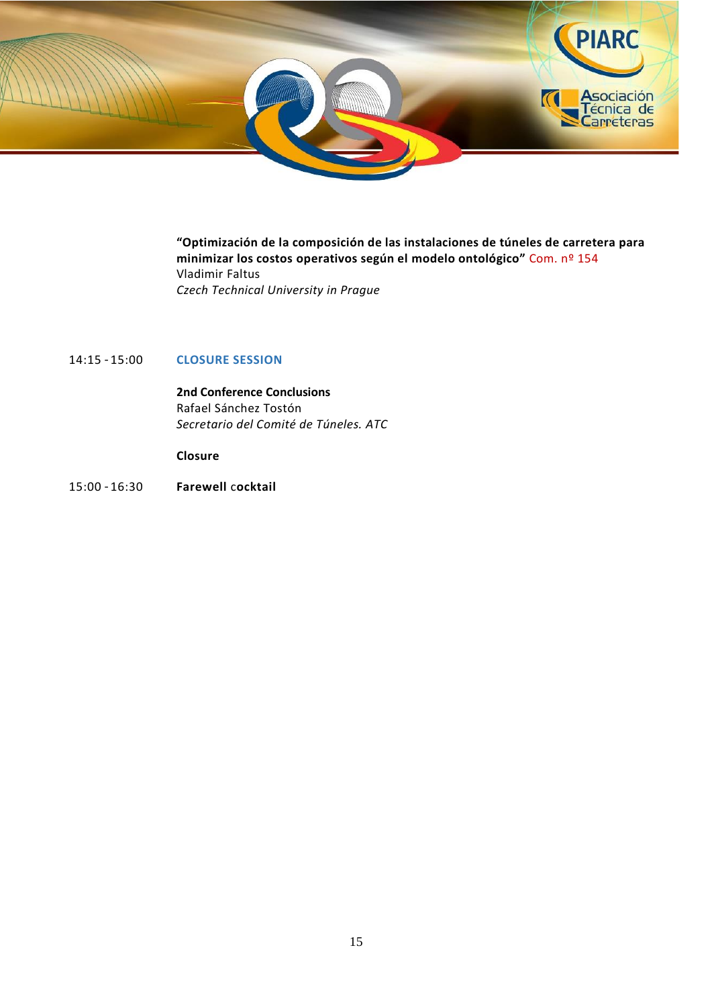

**"Optimización de la composición de las instalaciones de túneles de carretera para minimizar los costos operativos según el modelo ontológico"** Com. nº 154 Vladimir Faltus *Czech Technical University in Prague*

## 14:15 – 15:00 **CLOSURE SESSION**

**2nd Conference Conclusions** Rafael Sánchez Tostón *Secretario del Comité de Túneles. ATC*

**Closure**

15:00 – 16:30 **Farewell** c**ocktail**